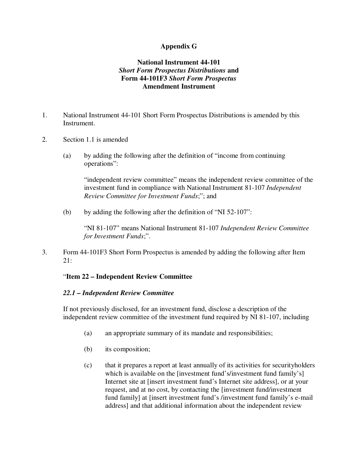## **Appendix G**

## **National Instrument 44-101** *Short Form Prospectus Distributions* **and Form 44-101F3** *Short Form Prospectus* **Amendment Instrument**

- 1. National Instrument 44-101 Short Form Prospectus Distributions is amended by this Instrument.
- 2. Section 1.1 is amended
	- (a) by adding the following after the definition of "income from continuing operations":

"independent review committee" means the independent review committee of the investment fund in compliance with National Instrument 81-107 *Independent Review Committee for Investment Funds*;"; and

(b) by adding the following after the definition of "NI 52-107":

"NI 81-107" means National Instrument 81-107 *Independent Review Committee for Investment Funds*;".

3. Form 44-101F3 Short Form Prospectus is amended by adding the following after Item 21:

## "**Item 22 – Independent Review Committee**

## *22.1 – Independent Review Committee*

If not previously disclosed, for an investment fund, disclose a description of the independent review committee of the investment fund required by NI 81-107, including

- (a) an appropriate summary of its mandate and responsibilities;
- (b) its composition;
- (c) that it prepares a report at least annually of its activities for securityholders which is available on the [investment fund's/investment fund family's] Internet site at [insert investment fund's Internet site address], or at your request, and at no cost, by contacting the [investment fund/investment fund family] at [insert investment fund's /investment fund family's e-mail address] and that additional information about the independent review